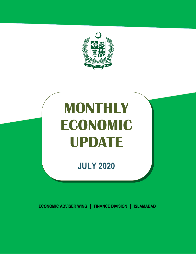

# **MONTHLY ECONOMIC UPDATE**

# **JULY 2020**

**ECONOMIC ADVISER WING | FINANCE DIVISION | ISLAMABAD**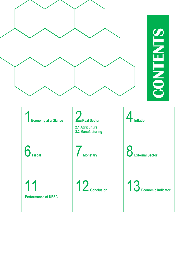

| <b>Economy at a Glance</b>       | Real Sector<br>2.1 Agriculture<br>2.2 Manufacturing | u<br>Inflation              |
|----------------------------------|-----------------------------------------------------|-----------------------------|
| $6$ Fiscal                       | Monetary                                            | <b>D</b><br>External Sector |
| 11<br><b>Performance of KESC</b> | $12$ Conclusion                                     | 13 Economic Indicator       |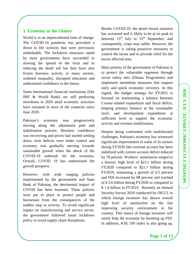# **1. Economy at the Glance**

World is in an unprecedented time of change. The COVID-19 pandemic has provoked a threat to life sciences that were previously unthinkable. The lockdown measures opted by most governments have succeeded in slowing the spread of the virus and in reducing the death toll but they have also frozen business activity in many sectors, widened inequality, disrupted education and undermined confidence in the future.

Some International financial institutions (like IMF & World Bank) are still predicting slowdown in 2020 amid economic activities have resumed in most of the countries since June 2020.

Pakistan's economy was progressively moving along the adjustment path and stabilization process. Business confidence was recovering and prices had started settling down, twin deficits were under control and economy was gradually moving towards sustainable growth when the shock of the COVID-19 outbreak hit the economy. Overall, COVID 19 has undermined the growth prospects.

However, with wide ranging policies implemented by the government and State Bank of Pakistan, the detrimental impact of COVID has been lessened. These policies were put in place to protect people and businesses from the consequences of the sudden stop in activity. To avoid significant impact on manufacturing and service sector, the government followed smart lockdown policy to avoid supply chain disruptions.

Beside COVID-19, the desert locust situation has worsened and is likely to be at its peak in between  $15<sup>th</sup>$  July to  $15<sup>th</sup>$  September, and consequently, crops may suffer. However, the government is taking proactive measures to control the locust and to provide relief for the locust affected area.

Main priority of the government of Pakistan is to protect the vulnerable segments through social safety nets (Ehsaas Programme) and implement immediate measures that support early and quick economic recovery. In this regard, the budget strategy for FY2021 is focused on maintaining a balance between Corona related expenditure and fiscal deficit, keeping primary balance at the sustainable level, and development expenditure at sufficient level to support the economic activity and revenue mobilization.

Despite being confronted with multifaceted challenges, Pakistan's economy has witnessed significant improvement in some of its sectors during FY2020 like external account has been stabilized with current account deficit reduced by 78 percent. Workers' remittances surged to a historic high level of \$23.1 billion during FY2020 compared to \$21.7 billion during FY2019, witnessing a growth of 6.5 percent and FDI increased by 88 percent and reached to \$ 2.6 billion during FY2020 as compared to \$ 1.4 billion in FY2019. Recently an Annual Security Survey 2020 conducted by OICCI, in which foreign investors has shown overall high level of satisfaction on the fast improving security environment in the country. This stance of foreign investors will surely help the economy by boosting up FDI. In addition, KSE 100 index is also going up,

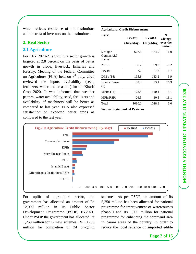which reflects resilience of the institutions and the trust of investors on the institutions.

# **2. Real Sector**

#### **2.1 Agriculture**

For CFY 2020-21 agriculture sector growth is targeted at 2.8 percent on the basis of better growth in crops, livestock, fisheries and forestry. Meeting of the Federal Committee on Agriculture (FCA) held on  $8<sup>th</sup>$  July, 2020 reviewed the inputs availability (seed, fertilizers, water and areas etc) for the Kharif Crop 2020. It was informed that weather pattern, water availability, seed, fertilizers and availability of machinery will be better as compared to last year. FCA also expressed satisfaction on expected better crops as compared to the last year.

| <b>Agricultural Credit Disbursement</b> |                             |                                      |                                                             |  |
|-----------------------------------------|-----------------------------|--------------------------------------|-------------------------------------------------------------|--|
| <b>Banks</b>                            | <b>FY2020</b><br>(July-May) | <b>FY2019</b><br>$(\text{July-May})$ | $\frac{0}{0}$<br><b>Change</b><br>over the<br><b>Period</b> |  |
| 5 Major<br>Commercial<br><b>Banks</b>   | 627.1                       | 564.9                                | 11.0                                                        |  |
| <b>ZTBL</b>                             | 56.2                        | 59.3                                 | $-5.2$                                                      |  |
| <b>PPCBL</b>                            | 7.2                         | 7.7                                  | $-6.7$                                                      |  |
| DPBs $(14)$                             | 195.8                       | 183.2                                | 6.9                                                         |  |
| Islamic Banks<br>(5)                    | 38.4                        | 33.1                                 | 16.3                                                        |  |
| MFBs(11)                                | 128.8                       | 140.1                                | $-8.1$                                                      |  |
| MFIs/RSPs                               | 26.5                        | 30.5                                 | $-13.1$                                                     |  |
| Total                                   | 1080.0                      | 1018.8                               | 6.0                                                         |  |
| <b>Source: State Bank of Pakistan</b>   |                             |                                      |                                                             |  |



For uplift of agriculture sector, the government has allocated an amount of Rs 12,000 million in its Public Sector Development Programme (PSDP) FY2021. Under PSDP the government has allocated Rs 1,250 million for 12 new schemes, Rs 10,750 million for completion of 24 on-going schemes. As per PSDP, an amount of Rs 5,250 million has been allocated for national programme for improvement of watercourses phase-II and Rs 1,000 million for national programme for enhancing the command area in barani areas of the country. In order to reduce the local reliance on imported edible

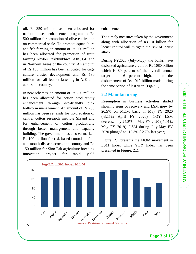oil, Rs 350 million has been allocated for national oilseed enhancement program and Rs 500 million for promotion of olive cultivation on commercial scale. To promote aquaculture and fish farming an amount of Rs 200 million has been allocated for promotion of trout farming Khyber Pakhtunkhwa, AJK, GB and in Northern Areas of the country. An amount of Rs 150 million has been allocated for cage culture cluster development and Rs 130 million for calf feedlot fattening in AJK and across the country.

In new schemes, an amount of Rs 250 million has been allocated for cotton productivity enhancement through eco-friendly pink bollworm management. An amount of Rs 250 million has been set aside for up-gradation of central cotton research institute Skrand and for enhancement of cotton productivity through better management and capacity building. The government has also earmarked Rs 100 million for risk based control of foot and mouth disease across the country and Rs 150 million for Sino-Pak agriculture breeding innovation project for rapid yield enhancement.

The timely measures taken by the government along with allocation of Rs 10 billion for locust control will mitigate the risk of locust attack.

During FY2020 (July-May), the banks have disbursed agriculture credit of Rs 1080 billion which is 80 percent of the overall annual target and 6 percent higher than the disbursement of Rs 1019 billion made during the same period of last year. (Fig-2.1)

# **2.2 Manufacturing**

Resumption in business activities started showing signs of recovery and LSM grew by 20.5% on MOM basis in May FY 2020 (-32.5% April FY 2020). YOY LSM decreased by 24.8% in May FY 2020 (-1.01% May FY 2019). LSM during July-May FY 2020 plunged to **-**10.3% (-2.7% last year).

Figure: 2.1 presents the MOM movement in LSM Index while YOY Index has been presented in Figure: 2.2.

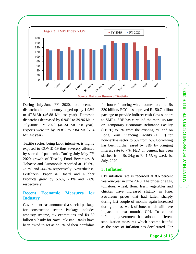

During July-June FY 2020, total cement dispatches in the country edged up by 1.98% to 47.81Mt (46.88 Mt last year). Domestic dispatches decreased by 0.94% to 39.96 Mt in July-June FY 2020 (40.34 Mt last year). Exports were up by 19.8% to 7.84 Mt (6.54 Mt last year).

Textile sector, being labor intensive, is highly exposed to COVID-19 thus severely affected by spread of pandemic. During July-May FY 2020 growth of Textile, Food Beverages & Tobacco and Automobile recorded at -10.6%, -3.7% and -44.8% respectively. Nevertheless, Fertilizers, Paper & Board and Rubber Products grew by 5.6%, 2.1% and 2.8% respectively.

# **Recent Economic Measures for Industry**

Government has announced a special package for construction sector. Package includes amnesty scheme, tax exemptions and Rs 30 billion subsidy for Naya Pakistan. Banks have been asked to set aside 5% of their portfolios

for house financing which comes to about Rs 330 billion**.** ECC has approved Rs 50.7 billion package to provide indirect cash flow support to SMEs. SBP has curtailed the mark-up rate on Temporary Economic Refinance Facility (TERF) to 5% from the existing 7% and on Long Term Financing Facility (LTFF) for non-textile sector to 5% from 6%. Borrowing has been further eased by SBP by bringing Interest rate to 7%. FED on cement has been slashed from Rs 2/kg to Rs 1.75/kg w.e.f. 1st July, 2020.

#### **3. Inflation**

CPI inflation rate is recorded at 8.6 percent year-on-year in June 2020. The prices of eggs, tomatoes, wheat, flour, fresh vegetables and chicken have increased slightly in June. Petroleum prices that had fallen sharply during last couple of months again increased during the last week of June, which will have impact in next month's CPI. To control inflation, government has adopted different stabilization measures which became fruitful as the pace of inflation has decelerated. For

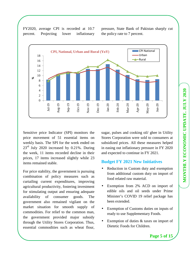FY2020, average CPI is recorded at 10.7 percent. Projecting lower inflationary pressure, State Bank of Pakistan sharply cut the policy rate to 7 percent.



Sensitive price Indicator (SPI) monitors the price movement of 51 essential items on weekly basis. The SPI for the week ended on 23rd July 2020 increased by 0.21%. During the week, 11 items recorded decline in their prices, 17 items increased slightly while 23 items remained stable.

For price stability, the government is pursuing combination of policy measures such as curtailing current expenditures, improving agricultural productivity, fostering investment for stimulating output and ensuring adequate availability of consumer goods. The government also remained vigilant on the market situation for smooth supply of commodities. For relief to the common man, the government provided major subsidy through the Utility Stores Corporation. Thus, essential commodities such as wheat flour,

sugar, pulses and cooking oil/ ghee in Utility Stores Corporation were sold to consumers at subsidized prices. All these measures helped in easing out inflationary pressure in FY 2020 and expected to continue in FY 2021.

#### **Budget FY 2021 New Initiatives**

- Reduction in Custom duty and exemption from additional custom duty on import of food related raw material.
- Exemption from 2% ACD on import of edible oils and oil seeds under Prime Minister's COVID 19 relief package has been extended.
- Exemption of Customs duties on inputs of ready to use Supplementary Foods.
- Exemption of duties  $&$  taxes on import of Dietetic Foods for Children.

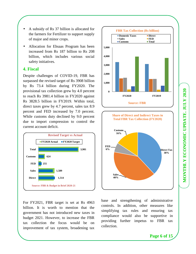- A subsidy of Rs 37 billion is allocated for the farmers for Fertilizer to support supply of major and minor crops.
- Allocation for Ehsaas Program has been increased from Rs 187 billion to Rs 208 billion, which includes various social safety initiatives.

#### **4. Fiscal**

Despite challenges of COVID-19, FBR has surpassed the revised target of Rs 3908 billion by Rs 73.4 billion during FY2020. The provisional tax collection grew by 4.0 percent to reach Rs 3981.4 billion in FY2020 against Rs 3828.5 billion in FY2019. Within total, direct taxes grew by 4.7 percent, sales tax 8.9 percent and FED increased by 7.0 percent. While customs duty declined by 9.0 percent due to import compression to control the current account deficit.



For FY2021, FBR target is set at Rs 4963 billion. It is worth to mention that the government has not introduced new taxes in budget 2021. However, to increase the FBR tax collection the focus would be on improvement of tax system, broadening tax



base and strengthening of administrative controls. In addition, other measures like simplifying tax rules and ensuring tax compliance would also be supportive in providing further impetus to FBR tax collection.

**Sales 40%**

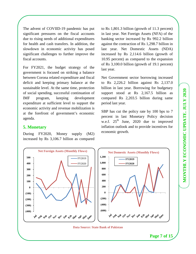The advent of COVIID-19 pandemic has put significant pressures on the fiscal accounts due to rising needs of additional expenditures for health and cash transfers. In addition, the slowdown in economic activity has posed significant challenges to further improve the fiscal accounts.

For FY2021, the budget strategy of the government is focused on striking a balance between Corona related expenditure and fiscal deficit and keeping primary balance at the sustainable level. At the same time, protection of social spending, successful continuation of IMF program, keeping development expenditure at sufficient level to support the economic activity and revenue mobilization is at the forefront of government's economic agenda.

#### **5. Monetary**

During FY2020, Money supply (M2) increased by Rs 3,106.7 billion as compared to Rs 1,801.3 billion (growth of 11.3 percent) in last year. Net Foreign Assets (NFA) of the banking sector increased by Rs 992.2 billion against the contraction of Rs 1,298.7 billion in last year. Net Domestic Assets (NDA) increased by Rs 2,114.6 billion (growth of 10.95 percent) as compared to the expansion of Rs 3,100.0 billion (growth of 19.1 percent) last year.

Net Government sector borrowing increased to Rs 2,226.2 billion against Rs 2,137.0 billion in last year. Borrowing for budgetary support stood at Rs 2,167.5 billion as compared Rs 2,203.5 billion during same period last year.

SBP has cut the policy rate by 100 bps to 7 percent in last Monetary Policy decision w.e.f.  $25<sup>th</sup>$  June, 2020 due to improved inflation outlook and to provide incentives for economic growth.

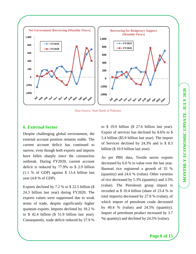

Data Source: State Bank of Pakistan

#### **6. External Sector**

Despite challenging global environment, the external account position remains stable. The current account deficit has continued to narrow, even though both exports and imports have fallen sharply since the coronavirus outbreak. During FY2020, current account deficit is reduced by 77.9% to \$ 2.9 billion (1.1 % of GDP) against \$ 13.4 billion last year (4.8 % of GDP).

Exports declined by 7.2 % to \$ 22.5 billion (\$ 24.3 billion last year) during FY2020. The exports values were suppressed due to weak terms of trade, despite significantly higher quantum exports. Imports declined by 18.2 % to \$ 42.4 billion (\$ 51.9 billion last year). Consequently, trade deficit reduced by 27.9 %

to \$ 19.9 billion (\$ 27.6 billion last year). Export of services has declined by 8.6% to \$ 5.4 billion (\$5.9 billion last year). The import of Services declined by 24.3% and is \$ 8.3 billion (\$ 10.9 billion last year).

As per PBS data, Textile sector exports decreased by 6.0 % in value over the last year. Basmati rice registered a growth of 35 % (quantity) and 24.6 % (value). Other varieties of rice decreased by 5.3% (quantity) and 3.5% (value). The Petroleum group import is recorded at \$ 10.4 billion (share of 23.4 % in total imports) decreased by 27.8 % (value), of which import of petroleum crude decreased by 40.4 % (value) and 24.5% (quantity). Import of petroleum product increased by 3.7 %( quantity) and declined by 24.5% (value).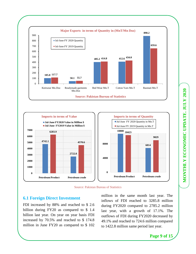





#### **6.1 Foreign Direct Investment**

FDI increased by 88% and reached to \$ 2.6 billion during FY20 as compared to \$ 1.4 billion last year. On year on year basis FDI increased by 70.5% and reached to \$ 174.8 million in June FY20 as compared to \$ 102 million in the same month last year. The inflows of FDI reached to 3285.8 million during FY2020 compared to 2785.2 million last year, with a growth of 17.1%. The outflows of FDI during FY2020 decreased by 49.1% and reached to 724.6 million compared to 1422.8 million same period last year.

**Page 9 of 15** 

MONTHLY ECONOMIC UPDATE. JULY 2020 **MONTHLY ECONOMIC UPDATE, JULY 2020**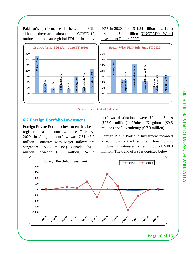MONTHLY ECONOMIC UPDATE. JULY 2020 **MONTHLY ECONOMIC UPDATE, JULY 2020**

Pakistan's performance is better on FDI; although there are estimates that COVID-19 outbreak could cause global FDI to shrink by 40% in 2020, from \$ 1.54 trillion in 2019 to less than \$ 1 trillion (UNCTAD's World investment Report 2020).





# **6.2 Foreign Portfolio Investment**

Foreign Private Portfolio Investment has been registering a net outflow since February, 2020. In June, the outflow was US\$ 43.2 million. Countries with Major inflows are Singapore (\$3.3 million) Canada (\$1.9 million), Sweden (\$1.1 million). While outflows destinations were United States (\$25.0 million), United Kingdom (\$9.5 million) and Luxembourg (\$ 7.3 million).

Foreign Public Portfolio Investment recorded a net inflow for the first time in four months. In June, it witnessed a net inflow of \$48.0 million. The trend of FPI is depicted below:

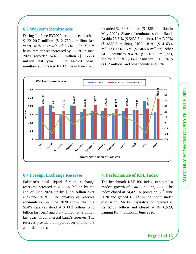# **6.3 Worker's Remittances**

During Jul-June FY2020, remittances reached \$ 23120.7 million (\$ 21739.4 million last year), with a growth of 6.4%. On Y-o-Y basis, remittances increased by 50.7 % in June 2020, recorded \$2466.3 million (\$ 1636.4 million last year). On M-o-M basis, remittances increased by 32.1 % in June 2020, recorded \$2466.3 million (\$ 1866.4 million in May 2020). Share of remittances from Saudi Arabia 23.5 % (\$ 5432.6 million), U.A.E 20% (\$ 4662.5 million), USA 18 % (\$ 4163.4 million), U.K 15 % (\$ 3465.6 million), other GCC countries 9.4 % (\$ 2162.1 million), Malaysia 6.2 % (\$ 1426.3 million), EU 3 % (\$ 686.2 million) and other countries 4.9 %.



# **6.4 Foreign Exchange Reserves**

Pakistan's total liquid foreign exchange reserves increased to \$ 17.97 billion by the end of June 2020, up by \$ 3.5 billion over end-June 2019. The breakup of reserves accumulation in June 2020 shows that the SBP's reserves stood at \$ 11.2 billion (\$7.3 billion last year) and \$ 6.7 billion (\$7.2 billion last year) in commercial bank's reserves. The reserves provide the import cover of around 3 and half months

# **7. Performance of KSE Index**

The benchmark KSE-100 index, exhibited a modest growth of 1.44% in June, 2020. The index closed at  $34,421.92$  points on  $30<sup>th</sup>$  June 2020 and gained 490.69 in the month under discussion. Market capitalization opened at Rs 6,485 billion and closed at Rs 6,529, gaining Rs 44 billion in June 2020.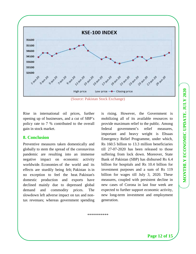

(Source: Pakistan Stock Exchange)

Rise in international oil prices, further opening up of businesses, and a cut of SBP's policy rate to 7 % contributed to the overall gain in stock market.

#### **8. Conclusion**

Preventive measures taken domestically and globally to stem the spread of the coronavirus pandemic are resulting into an immense negative impact on economic activity worldwide. Economies of the world and its effects are sturdily being felt; Pakistan is in no exception to feel the heat. Pakistan's domestic production and exports have declined mainly due to depressed global demand and commodity prices. The slowdown left adverse impact on tax and nontax revenues; whereas government spending is rising. However, the Government is mobilizing all of its available resources to provide maximum relief to the public. Among federal government's relief measures, important and heavy weight is Ehsaas Emergency Relief Programme, under which, Rs 160.5 billion to 13.3 million beneficiaries till 27-07-2020 has been released to those suffering from lock down. Moreover, State Bank of Pakistan (SBP) has disbursed Rs 6.4 billion for hospitals and Rs 10.4 billion for investment purposes and a sum of Rs 119 billion for wages till July 3, 2020. These measures, coupled with persistent decline in new cases of Corona in last four week are expected to further support economic activity, new long-term investment and employment generation.

\*\*\*\*\*\*\*\*\*\*\*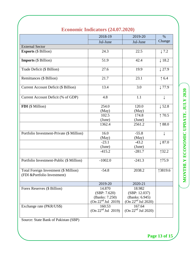|  |  | <b>Economic Indicators (24.07.2020)</b> |
|--|--|-----------------------------------------|
|--|--|-----------------------------------------|

|                                                                       | 2018-19                                                                              | 2019-20                                                                               | $\%$              |  |
|-----------------------------------------------------------------------|--------------------------------------------------------------------------------------|---------------------------------------------------------------------------------------|-------------------|--|
|                                                                       | Jul-June                                                                             | Jul-June                                                                              | Change            |  |
| <b>External Sector</b>                                                |                                                                                      |                                                                                       |                   |  |
| <b>Exports (\$ Billion)</b>                                           | 24.3                                                                                 | 22.5                                                                                  | $\downarrow$ 7.2  |  |
| <b>Imports</b> (\$ Billion)                                           | 51.9                                                                                 | 42.4                                                                                  | $\downarrow$ 18.2 |  |
| Trade Deficit (\$ Billion)                                            | 27.6                                                                                 | 19.9                                                                                  | $\downarrow$ 27.9 |  |
| Remittances (\$ Billion)                                              | 21.7                                                                                 | 23.1                                                                                  | $\uparrow$ 6.4    |  |
| <b>Current Account Deficit (\$ Billion)</b>                           | 13.4                                                                                 | 3.0                                                                                   | $\downarrow$ 77.9 |  |
| Current Account Deficit (% of GDP)                                    | 4.8                                                                                  | 1.1                                                                                   |                   |  |
| FDI (\$ Million)                                                      | 254.0<br>(May)                                                                       | 120.0<br>(May)                                                                        | $\downarrow$ 52.8 |  |
|                                                                       | 102.5                                                                                | 174.8                                                                                 | $\uparrow$ 70.5   |  |
|                                                                       | (June)                                                                               | (June)                                                                                |                   |  |
|                                                                       | 1362.4                                                                               | 2561.2                                                                                | \$8.0             |  |
| Portfolio Investment-Private (\$ Million)                             | 16.0                                                                                 | $-55.8$                                                                               | ↓                 |  |
|                                                                       | (May)                                                                                | (May)                                                                                 |                   |  |
|                                                                       | $-23.1$                                                                              | $-43.2$                                                                               | $\downarrow$ 87.0 |  |
|                                                                       | (June)                                                                               | (June)                                                                                |                   |  |
|                                                                       | $-415.2$                                                                             | $-281.7$                                                                              | 132.2             |  |
| Portfolio Investment-Public (\$ Million)                              | $-1002.0$                                                                            | $-241.3$                                                                              | 175.9             |  |
| Total Foreign Investment (\$ Million)<br>(FDI & Portfolio Investment) | $-54.8$                                                                              | 2038.2                                                                                | 13819.6           |  |
|                                                                       | 2019-20                                                                              | 2020-21                                                                               |                   |  |
| Forex Reserves (\$ Billion)<br>Exchange rate (PKR/US\$)               | 14.870<br>(SBP: 7.620)<br>(Banks: 7.250)<br>(On 22 <sup>nd</sup> Jul 2019)<br>160.53 | 18.982<br>(SBP: 12.037)<br>(Banks: 6.945)<br>(On 22 <sup>nd</sup> Jul 2020)<br>167.64 |                   |  |
|                                                                       | (On 22 <sup>nd</sup> Jul 2019)                                                       | (On $22nd$ Jul 2020)                                                                  |                   |  |

Source: State Bank of Pakistan (SBP)

MONTHLY ECONOMIC UPDATE. JULY 2020 **MONTHLY ECONOMIC UPDATE, JULY 2020**

**Page 13 of 15**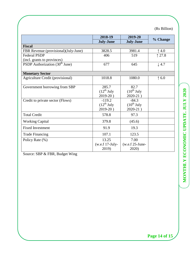(Rs Billion)

|                                      | 2018-19           | 2019-20           | % Change         |  |
|--------------------------------------|-------------------|-------------------|------------------|--|
|                                      | <b>July-June</b>  | <b>July-June</b>  |                  |  |
| <b>Fiscal</b>                        |                   |                   |                  |  |
| FBR Revenue (provisional)(July-June) | 3828.5            | 3981.4            | $\uparrow$ 4.0   |  |
| Federal PSDP                         | 406               | 519               | 127.8            |  |
| (incl. grants to provinces)          |                   |                   |                  |  |
| PSDP Authorization $(30th$ June)     | 677               | 645               | $\downarrow$ 4.7 |  |
| <b>Monetary Sector</b>               |                   |                   |                  |  |
| Agriculture Credit (provisional)     | 1018.8            | 1080.0            | $\uparrow$ 6.0   |  |
| Government borrowing from SBP        | 285.7             | 82.7              |                  |  |
|                                      | $(12^{th}$ July   | $(10^{th}$ July   |                  |  |
|                                      | $2019-20$ )       | $2020-21$ )       |                  |  |
| Credit to private sector (Flows)     | $-119.2$          | $-84.3$           |                  |  |
|                                      | $(12^{th}$ July   | $(10^{th}$ July   |                  |  |
|                                      | $2019-20$ )       | $2020-21$ )       |                  |  |
| <b>Total Credit</b>                  | 578.8             | 97.3              |                  |  |
| <b>Working Capital</b>               | 379.8             | (45.6)            |                  |  |
| <b>Fixed Investment</b>              | 91.9              | 19.3              |                  |  |
| <b>Trade Financing</b>               | 107.1             | 123.5             |                  |  |
| Policy Rate (%)                      | 13.25             | 7.00              |                  |  |
|                                      | $(w.e.f 17-July-$ | $(w.e.f 25-June-$ |                  |  |
|                                      | 2019)             | 2020)             |                  |  |

Source: SBP & FBR, Budget Wing

**Page 14 of 15**